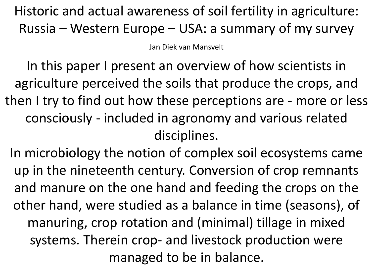Historic and actual awareness of soil fertility in agriculture: Russia – Western Europe – USA: a summary of my survey

Jan Diek van Mansvelt

In this paper I present an overview of how scientists in agriculture perceived the soils that produce the crops, and then I try to find out how these perceptions are - more or less consciously - included in agronomy and various related disciplines.

In microbiology the notion of complex soil ecosystems came up in the nineteenth century. Conversion of crop remnants and manure on the one hand and feeding the crops on the other hand, were studied as a balance in time (seasons), of manuring, crop rotation and (minimal) tillage in mixed systems. Therein crop- and livestock production were managed to be in balance.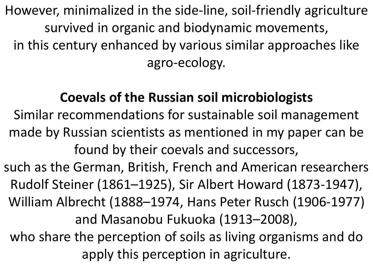However, minimalized in the side-line, soil-friendly agriculture survived in organic and biodynamic movements, in this century enhanced by various similar approaches like agro-ecology.

## **Coevals of the Russian soil microbiologists**

Similar recommendations for sustainable soil management made by Russian scientists as mentioned in my paper can be found by their coevals and successors,

such as the German, British, French and American researchers Rudolf Steiner (1861–1925), Sir Albert Howard (1873-1947), William Albrecht (1888–1974, Hans Peter Rusch (1906-1977) and Masanobu Fukuoka (1913–2008), who share the perception of soils as living organisms and do apply this perception in agriculture.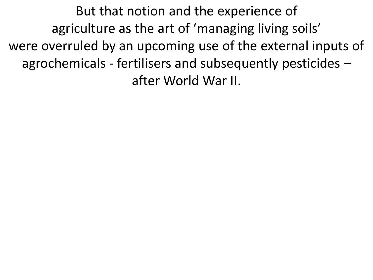But that notion and the experience of agriculture as the art of 'managing living soils' were overruled by an upcoming use of the external inputs of agrochemicals - fertilisers and subsequently pesticides – after World War II.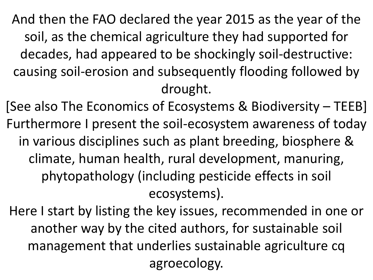And then the FAO declared the year 2015 as the year of the soil, as the chemical agriculture they had supported for decades, had appeared to be shockingly soil-destructive: causing soil-erosion and subsequently flooding followed by drought.

[See also The Economics of Ecosystems & Biodiversity – TEEB] Furthermore I present the soil-ecosystem awareness of today in various disciplines such as plant breeding, biosphere & climate, human health, rural development, manuring, phytopathology (including pesticide effects in soil ecosystems).

Here I start by listing the key issues, recommended in one or another way by the cited authors, for sustainable soil management that underlies sustainable agriculture cq agroecology.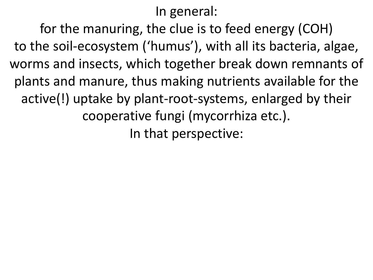```
In general:
```
for the manuring, the clue is to feed energy (COH) to the soil-ecosystem ('humus'), with all its bacteria, algae, worms and insects, which together break down remnants of plants and manure, thus making nutrients available for the active(!) uptake by plant-root-systems, enlarged by their cooperative fungi (mycorrhiza etc.). In that perspective: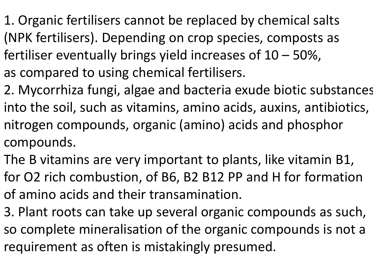- 1. Organic fertilisers cannot be replaced by chemical salts (NPK fertilisers). Depending on crop species, composts as fertiliser eventually brings yield increases of 10 – 50%, as compared to using chemical fertilisers.
- 2. Mycorrhiza fungi, algae and bacteria exude biotic substances into the soil, such as vitamins, amino acids, auxins, antibiotics, nitrogen compounds, organic (amino) acids and phosphor compounds.
- The B vitamins are very important to plants, like vitamin B1, for O2 rich combustion, of B6, B2 B12 PP and H for formation of amino acids and their transamination.
- 3. Plant roots can take up several organic compounds as such, so complete mineralisation of the organic compounds is not a requirement as often is mistakingly presumed.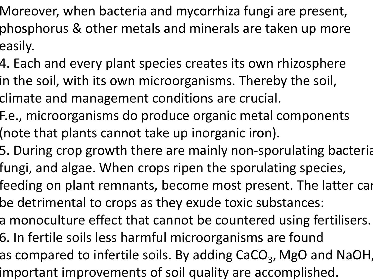- Moreover, when bacteria and mycorrhiza fungi are present, phosphorus & other metals and minerals are taken up more easily.
- 4. Each and every plant species creates its own rhizosphere in the soil, with its own microorganisms. Thereby the soil, climate and management conditions are crucial.
- F.e., microorganisms do produce organic metal components (note that plants cannot take up inorganic iron).
- 5. During crop growth there are mainly non-sporulating bacteria fungi, and algae. When crops ripen the sporulating species,
- feeding on plant remnants, become most present. The latter can be detrimental to crops as they exude toxic substances:
- a monoculture effect that cannot be countered using fertilisers.
- 6. In fertile soils less harmful microorganisms are found
- as compared to infertile soils. By adding  $\mathsf{CaCO}_{3}$ , MgO and NaOH, important improvements of soil quality are accomplished.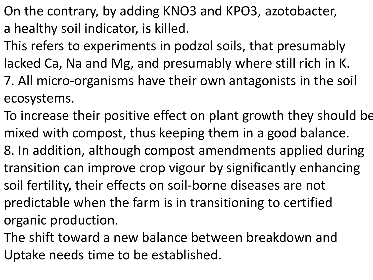- On the contrary, by adding KNO3 and KPO3, azotobacter, a healthy soil indicator, is killed.
- This refers to experiments in podzol soils, that presumably lacked Ca, Na and Mg, and presumably where still rich in K.
- 7. All micro-organisms have their own antagonists in the soil ecosystems.
- To increase their positive effect on plant growth they should be mixed with compost, thus keeping them in a good balance.
- 8. In addition, although compost amendments applied during transition can improve crop vigour by significantly enhancing soil fertility, their effects on soil-borne diseases are not predictable when the farm is in transitioning to certified organic production.
- The shift toward a new balance between breakdown and Uptake needs time to be established.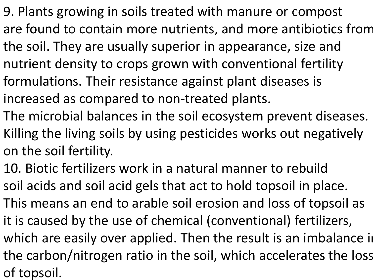- 9. Plants growing in soils treated with manure or compost are found to contain more nutrients, and more antibiotics from the soil. They are usually superior in appearance, size and nutrient density to crops grown with conventional fertility formulations. Their resistance against plant diseases is increased as compared to non-treated plants.
- The microbial balances in the soil ecosystem prevent diseases. Killing the living soils by using pesticides works out negatively on the soil fertility.
- 10. Biotic fertilizers work in a natural manner to rebuild soil acids and soil acid gels that act to hold topsoil in place. This means an end to arable soil erosion and loss of topsoil as it is caused by the use of chemical (conventional) fertilizers, which are easily over applied. Then the result is an imbalance in the carbon/nitrogen ratio in the soil, which accelerates the loss of topsoil.